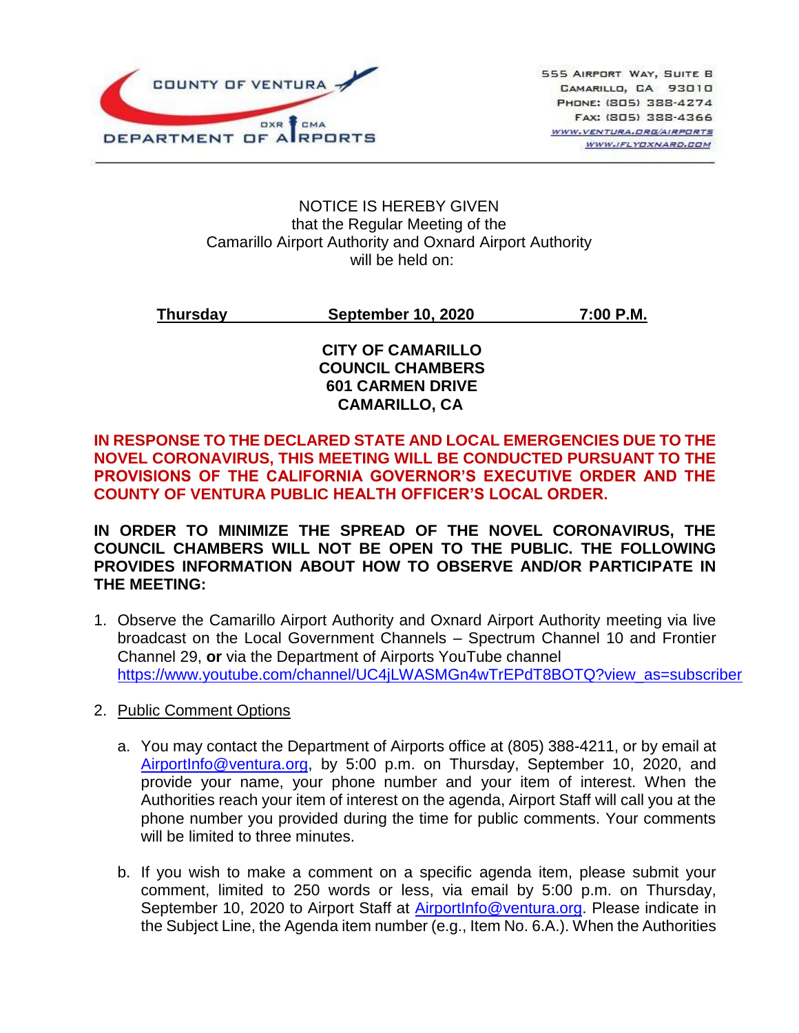

#### NOTICE IS HEREBY GIVEN that the Regular Meeting of the Camarillo Airport Authority and Oxnard Airport Authority will be held on:

**Thursday September 10, 2020 7:00 P.M.**

### **CITY OF CAMARILLO COUNCIL CHAMBERS 601 CARMEN DRIVE CAMARILLO, CA**

## **IN RESPONSE TO THE DECLARED STATE AND LOCAL EMERGENCIES DUE TO THE NOVEL CORONAVIRUS, THIS MEETING WILL BE CONDUCTED PURSUANT TO THE PROVISIONS OF THE CALIFORNIA GOVERNOR'S EXECUTIVE ORDER AND THE COUNTY OF VENTURA PUBLIC HEALTH OFFICER'S LOCAL ORDER.**

**IN ORDER TO MINIMIZE THE SPREAD OF THE NOVEL CORONAVIRUS, THE COUNCIL CHAMBERS WILL NOT BE OPEN TO THE PUBLIC. THE FOLLOWING PROVIDES INFORMATION ABOUT HOW TO OBSERVE AND/OR PARTICIPATE IN THE MEETING:**

- 1. Observe the Camarillo Airport Authority and Oxnard Airport Authority meeting via live broadcast on the Local Government Channels – Spectrum Channel 10 and Frontier Channel 29, **or** via the Department of Airports YouTube channel [https://www.youtube.com/channel/UC4jLWASMGn4wTrEPdT8BOTQ?view\\_as=subscriber](https://www.youtube.com/channel/UC4jLWASMGn4wTrEPdT8BOTQ?view_as=subscriber)\_
- 2. Public Comment Options
	- a. You may contact the Department of Airports office at (805) 388-4211, or by email at [AirportInfo@ventura.org,](mailto:AirportInfo@ventura.org) by 5:00 p.m. on Thursday, September 10, 2020, and provide your name, your phone number and your item of interest. When the Authorities reach your item of interest on the agenda, Airport Staff will call you at the phone number you provided during the time for public comments. Your comments will be limited to three minutes.
	- b. If you wish to make a comment on a specific agenda item, please submit your comment, limited to 250 words or less, via email by 5:00 p.m. on Thursday, September 10, 2020 to Airport Staff at [AirportInfo@ventura.org.](mailto:AirportInfo@ventura.org) Please indicate in the Subject Line, the Agenda item number (e.g., Item No. 6.A.). When the Authorities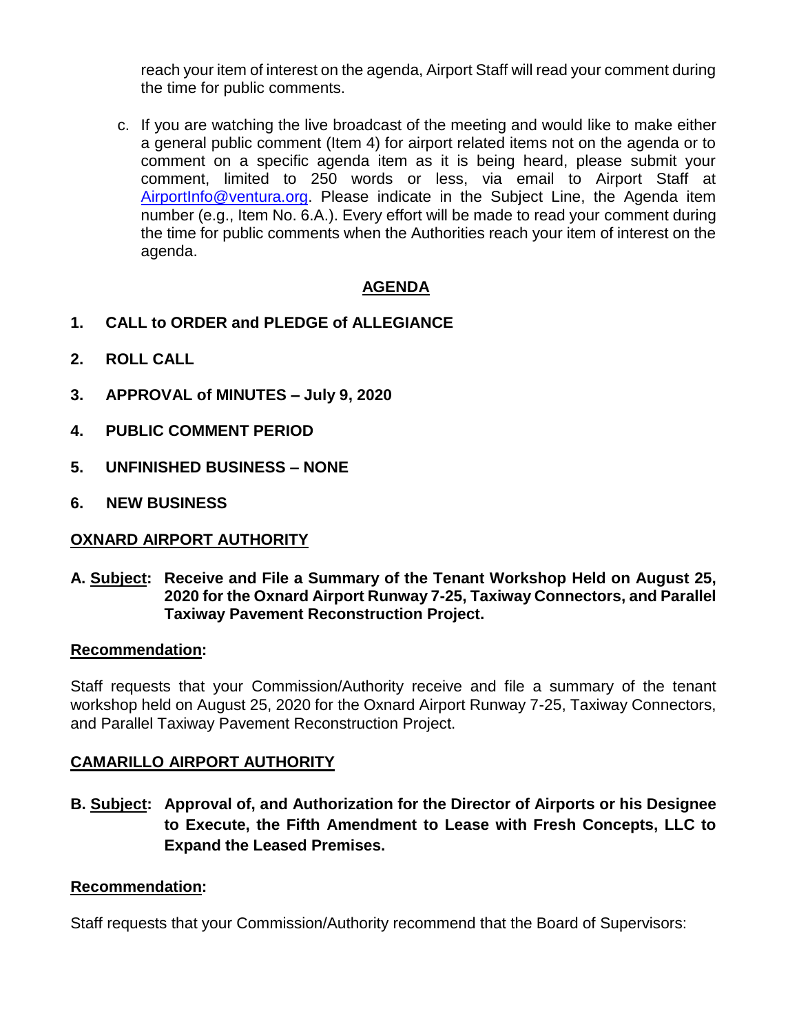reach your item of interest on the agenda, Airport Staff will read your comment during the time for public comments.

c. If you are watching the live broadcast of the meeting and would like to make either a general public comment (Item 4) for airport related items not on the agenda or to comment on a specific agenda item as it is being heard, please submit your comment, limited to 250 words or less, via email to Airport Staff at [AirportInfo@ventura.org.](mailto:AirportInfo@ventura.org) Please indicate in the Subject Line, the Agenda item number (e.g., Item No. 6.A.). Every effort will be made to read your comment during the time for public comments when the Authorities reach your item of interest on the agenda.

# **AGENDA**

- **1. CALL to ORDER and PLEDGE of ALLEGIANCE**
- **2. ROLL CALL**
- **3. APPROVAL of MINUTES – July 9, 2020**
- **4. PUBLIC COMMENT PERIOD**
- **5. UNFINISHED BUSINESS – NONE**
- **6. NEW BUSINESS**

### **OXNARD AIRPORT AUTHORITY**

**A. Subject: Receive and File a Summary of the Tenant Workshop Held on August 25, 2020 for the Oxnard Airport Runway 7-25, Taxiway Connectors, and Parallel Taxiway Pavement Reconstruction Project.**

#### **Recommendation:**

Staff requests that your Commission/Authority receive and file a summary of the tenant workshop held on August 25, 2020 for the Oxnard Airport Runway 7-25, Taxiway Connectors, and Parallel Taxiway Pavement Reconstruction Project.

### **CAMARILLO AIRPORT AUTHORITY**

**B. Subject: Approval of, and Authorization for the Director of Airports or his Designee to Execute, the Fifth Amendment to Lease with Fresh Concepts, LLC to Expand the Leased Premises.**

#### **Recommendation:**

Staff requests that your Commission/Authority recommend that the Board of Supervisors: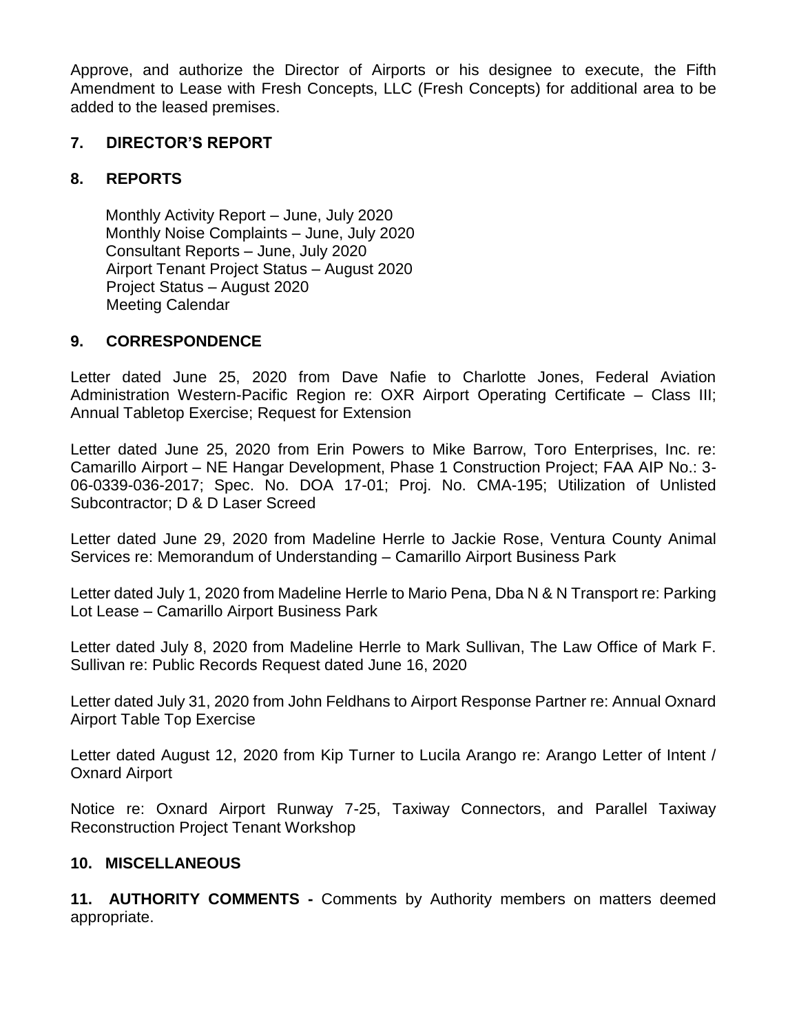Approve, and authorize the Director of Airports or his designee to execute, the Fifth Amendment to Lease with Fresh Concepts, LLC (Fresh Concepts) for additional area to be added to the leased premises.

# **7. DIRECTOR'S REPORT**

# **8. REPORTS**

Monthly Activity Report – June, July 2020 Monthly Noise Complaints – June, July 2020 Consultant Reports – June, July 2020 Airport Tenant Project Status – August 2020 Project Status – August 2020 Meeting Calendar

## **9. CORRESPONDENCE**

Letter dated June 25, 2020 from Dave Nafie to Charlotte Jones, Federal Aviation Administration Western-Pacific Region re: OXR Airport Operating Certificate – Class III; Annual Tabletop Exercise; Request for Extension

Letter dated June 25, 2020 from Erin Powers to Mike Barrow, Toro Enterprises, Inc. re: Camarillo Airport – NE Hangar Development, Phase 1 Construction Project; FAA AIP No.: 3- 06-0339-036-2017; Spec. No. DOA 17-01; Proj. No. CMA-195; Utilization of Unlisted Subcontractor; D & D Laser Screed

Letter dated June 29, 2020 from Madeline Herrle to Jackie Rose, Ventura County Animal Services re: Memorandum of Understanding – Camarillo Airport Business Park

Letter dated July 1, 2020 from Madeline Herrle to Mario Pena, Dba N & N Transport re: Parking Lot Lease – Camarillo Airport Business Park

Letter dated July 8, 2020 from Madeline Herrle to Mark Sullivan, The Law Office of Mark F. Sullivan re: Public Records Request dated June 16, 2020

Letter dated July 31, 2020 from John Feldhans to Airport Response Partner re: Annual Oxnard Airport Table Top Exercise

Letter dated August 12, 2020 from Kip Turner to Lucila Arango re: Arango Letter of Intent / Oxnard Airport

Notice re: Oxnard Airport Runway 7-25, Taxiway Connectors, and Parallel Taxiway Reconstruction Project Tenant Workshop

## **10. MISCELLANEOUS**

**11. AUTHORITY COMMENTS -** Comments by Authority members on matters deemed appropriate.